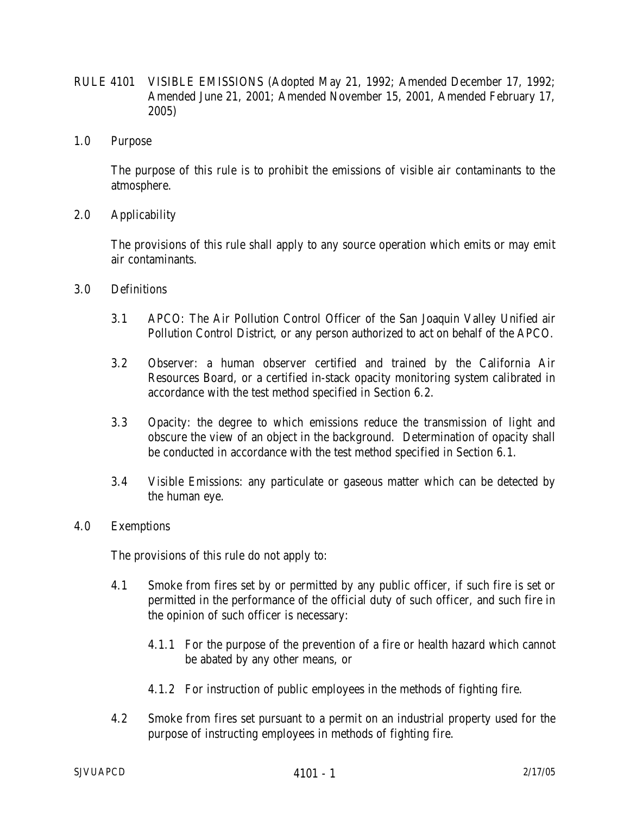- RULE 4101 VISIBLE EMISSIONS (Adopted May 21, 1992; Amended December 17, 1992; Amended June 21, 2001; Amended November 15, 2001, Amended February 17, 2005)
- 1.0 Purpose

 The purpose of this rule is to prohibit the emissions of visible air contaminants to the atmosphere.

2.0 Applicability

 The provisions of this rule shall apply to any source operation which emits or may emit air contaminants.

- 3.0 Definitions
	- 3.1 APCO: The Air Pollution Control Officer of the San Joaquin Valley Unified air Pollution Control District, or any person authorized to act on behalf of the APCO.
	- 3.2 Observer: a human observer certified and trained by the California Air Resources Board, or a certified in-stack opacity monitoring system calibrated in accordance with the test method specified in Section 6.2.
	- 3.3 Opacity: the degree to which emissions reduce the transmission of light and obscure the view of an object in the background. Determination of opacity shall be conducted in accordance with the test method specified in Section 6.1.
	- 3.4 Visible Emissions: any particulate or gaseous matter which can be detected by the human eye.
- 4.0 Exemptions

The provisions of this rule do not apply to:

- 4.1 Smoke from fires set by or permitted by any public officer, if such fire is set or permitted in the performance of the official duty of such officer, and such fire in the opinion of such officer is necessary:
	- 4.1.1 For the purpose of the prevention of a fire or health hazard which cannot be abated by any other means, or
	- 4.1.2 For instruction of public employees in the methods of fighting fire.
- 4.2 Smoke from fires set pursuant to a permit on an industrial property used for the purpose of instructing employees in methods of fighting fire.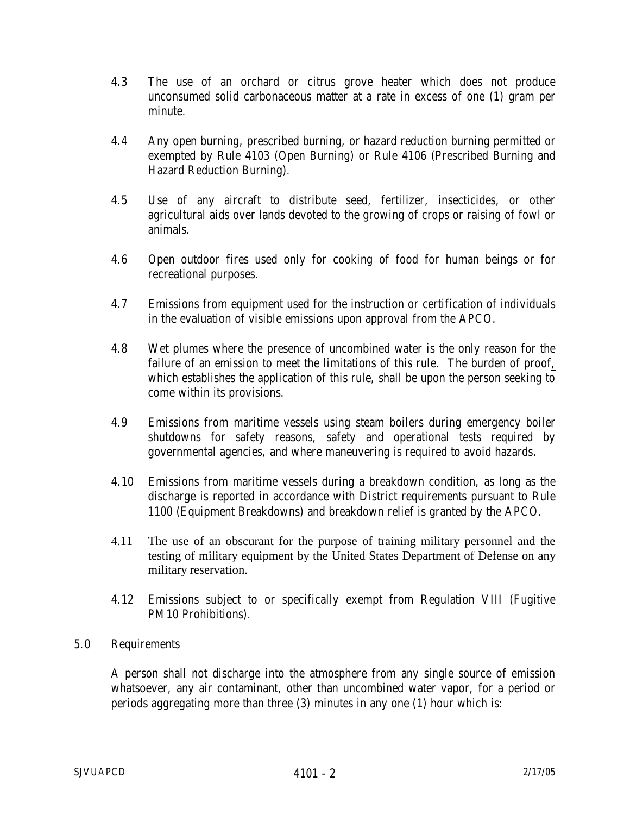- 4.3 The use of an orchard or citrus grove heater which does not produce unconsumed solid carbonaceous matter at a rate in excess of one (1) gram per minute.
- 4.4 Any open burning, prescribed burning, or hazard reduction burning permitted or exempted by Rule 4103 (Open Burning) or Rule 4106 (Prescribed Burning and Hazard Reduction Burning).
- 4.5 Use of any aircraft to distribute seed, fertilizer, insecticides, or other agricultural aids over lands devoted to the growing of crops or raising of fowl or animals.
- 4.6 Open outdoor fires used only for cooking of food for human beings or for recreational purposes.
- 4.7 Emissions from equipment used for the instruction or certification of individuals in the evaluation of visible emissions upon approval from the APCO.
- 4.8 Wet plumes where the presence of uncombined water is the only reason for the failure of an emission to meet the limitations of this rule. The burden of proof, which establishes the application of this rule, shall be upon the person seeking to come within its provisions.
- 4.9 Emissions from maritime vessels using steam boilers during emergency boiler shutdowns for safety reasons, safety and operational tests required by governmental agencies, and where maneuvering is required to avoid hazards.
- 4.10 Emissions from maritime vessels during a breakdown condition, as long as the discharge is reported in accordance with District requirements pursuant to Rule 1100 (Equipment Breakdowns) and breakdown relief is granted by the APCO.
- 4.11 The use of an obscurant for the purpose of training military personnel and the testing of military equipment by the United States Department of Defense on any military reservation.
- 4.12 Emissions subject to or specifically exempt from Regulation VIII (Fugitive PM10 Prohibitions).

## 5.0 Requirements

 A person shall not discharge into the atmosphere from any single source of emission whatsoever, any air contaminant, other than uncombined water vapor, for a period or periods aggregating more than three (3) minutes in any one (1) hour which is: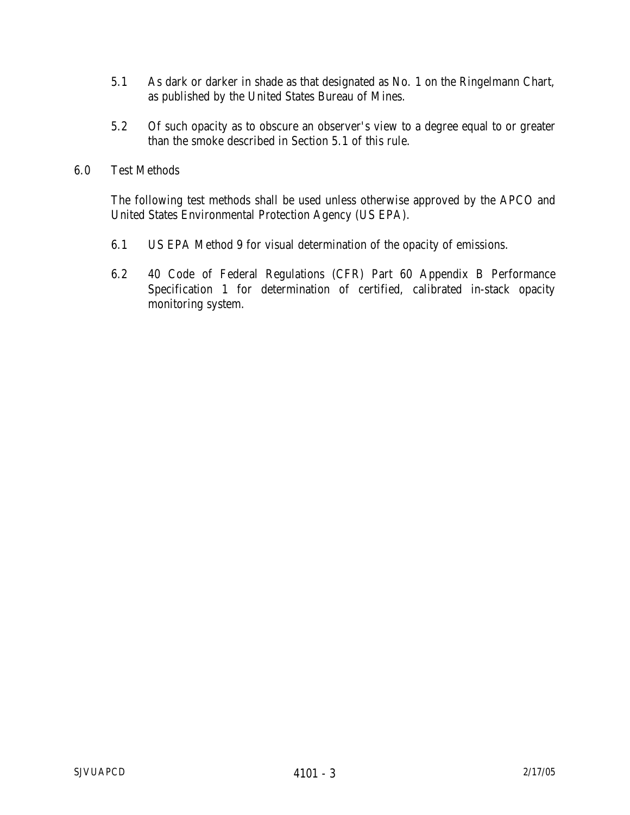- 5.1 As dark or darker in shade as that designated as No. 1 on the Ringelmann Chart, as published by the United States Bureau of Mines.
- 5.2 Of such opacity as to obscure an observer's view to a degree equal to or greater than the smoke described in Section 5.1 of this rule.
- 6.0 Test Methods

The following test methods shall be used unless otherwise approved by the APCO and United States Environmental Protection Agency (US EPA).

- 6.1 US EPA Method 9 for visual determination of the opacity of emissions.
- 6.2 40 Code of Federal Regulations (CFR) Part 60 Appendix B Performance Specification 1 for determination of certified, calibrated in-stack opacity monitoring system.